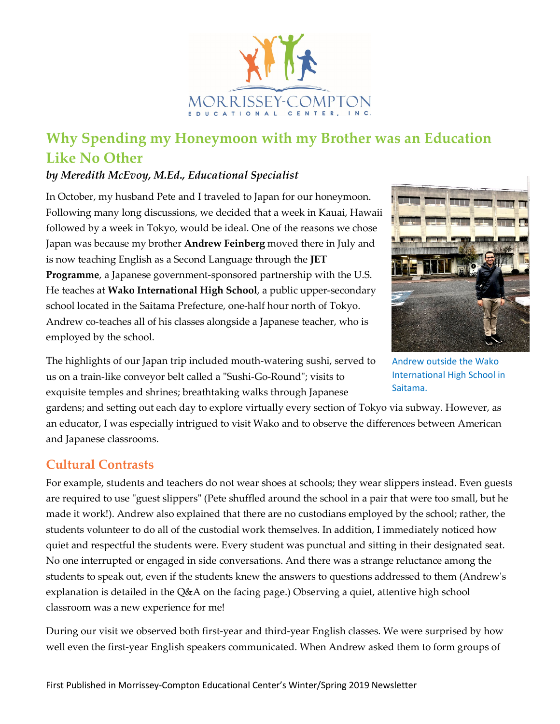

# **Why Spending my Honeymoon with my Brother was an Education Like No Other**

#### *by Meredith McEvoy, M.Ed., Educational Specialist*

In October, my husband Pete and I traveled to Japan for our honeymoon. Following many long discussions, we decided that a week in Kauai, Hawaii followed by a week in Tokyo, would be ideal. One of the reasons we chose Japan was because my brother **Andrew Feinberg** moved there in July and is now teaching English as a Second Language through the **JET Programme**, a Japanese government-sponsored partnership with the U.S. He teaches at **Wako International High School**, a public upper-secondary school located in the Saitama Prefecture, one-half hour north of Tokyo. Andrew co-teaches all of his classes alongside a Japanese teacher, who is employed by the school.



Andrew outside the Wako International High School in Saitama.

The highlights of our Japan trip included mouth-watering sushi, served to us on a train-like conveyor belt called a "Sushi-Go-Round"; visits to exquisite temples and shrines; breathtaking walks through Japanese

gardens; and setting out each day to explore virtually every section of Tokyo via subway. However, as an educator, I was especially intrigued to visit Wako and to observe the differences between American and Japanese classrooms.

### **Cultural Contrasts**

For example, students and teachers do not wear shoes at schools; they wear slippers instead. Even guests are required to use "guest slippers" (Pete shuffled around the school in a pair that were too small, but he made it work!). Andrew also explained that there are no custodians employed by the school; rather, the students volunteer to do all of the custodial work themselves. In addition, I immediately noticed how quiet and respectful the students were. Every student was punctual and sitting in their designated seat. No one interrupted or engaged in side conversations. And there was a strange reluctance among the students to speak out, even if the students knew the answers to questions addressed to them (Andrew's explanation is detailed in the Q&A on the facing page.) Observing a quiet, attentive high school classroom was a new experience for me!

During our visit we observed both first-year and third-year English classes. We were surprised by how well even the first-year English speakers communicated. When Andrew asked them to form groups of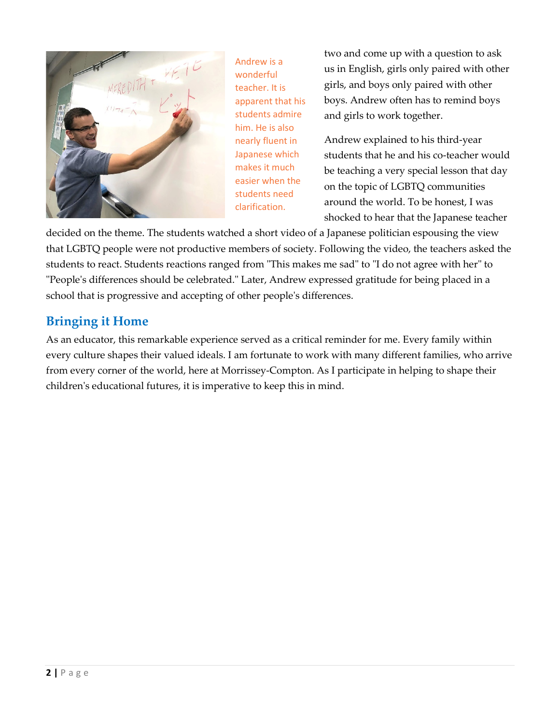

Andrew is a wonderful teacher. It is apparent that his students admire him. He is also nearly fluent in Japanese which makes it much easier when the students need clarification.

two and come up with a question to ask us in English, girls only paired with other girls, and boys only paired with other boys. Andrew often has to remind boys and girls to work together.

Andrew explained to his third-year students that he and his co-teacher would be teaching a very special lesson that day on the topic of LGBTQ communities around the world. To be honest, I was shocked to hear that the Japanese teacher

decided on the theme. The students watched a short video of a Japanese politician espousing the view that LGBTQ people were not productive members of society. Following the video, the teachers asked the students to react. Students reactions ranged from "This makes me sad" to "I do not agree with her" to "People's differences should be celebrated." Later, Andrew expressed gratitude for being placed in a school that is progressive and accepting of other people's differences.

## **Bringing it Home**

As an educator, this remarkable experience served as a critical reminder for me. Every family within every culture shapes their valued ideals. I am fortunate to work with many different families, who arrive from every corner of the world, here at Morrissey-Compton. As I participate in helping to shape their children's educational futures, it is imperative to keep this in mind.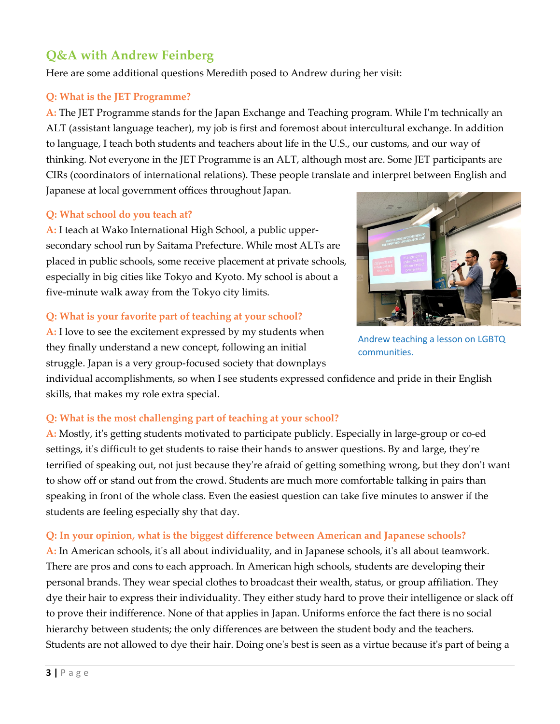### **Q&A with Andrew Feinberg**

Here are some additional questions Meredith posed to Andrew during her visit:

#### **Q: What is the JET Programme?**

**A:** The JET Programme stands for the Japan Exchange and Teaching program. While I'm technically an ALT (assistant language teacher), my job is first and foremost about intercultural exchange. In addition to language, I teach both students and teachers about life in the U.S., our customs, and our way of thinking. Not everyone in the JET Programme is an ALT, although most are. Some JET participants are CIRs (coordinators of international relations). These people translate and interpret between English and Japanese at local government offices throughout Japan.

#### **Q: What school do you teach at?**

**A:** I teach at Wako International High School, a public uppersecondary school run by Saitama Prefecture. While most ALTs are placed in public schools, some receive placement at private schools, especially in big cities like Tokyo and Kyoto. My school is about a five-minute walk away from the Tokyo city limits.

#### **Q: What is your favorite part of teaching at your school?**



Andrew teaching a lesson on LGBTQ communities.

**A:** I love to see the excitement expressed by my students when they finally understand a new concept, following an initial struggle. Japan is a very group-focused society that downplays

individual accomplishments, so when I see students expressed confidence and pride in their English skills, that makes my role extra special.

#### **Q: What is the most challenging part of teaching at your school?**

**A:** Mostly, it's getting students motivated to participate publicly. Especially in large-group or co-ed settings, it's difficult to get students to raise their hands to answer questions. By and large, they're terrified of speaking out, not just because they're afraid of getting something wrong, but they don't want to show off or stand out from the crowd. Students are much more comfortable talking in pairs than speaking in front of the whole class. Even the easiest question can take five minutes to answer if the students are feeling especially shy that day.

#### **Q: In your opinion, what is the biggest difference between American and Japanese schools?**

**A:** In American schools, it's all about individuality, and in Japanese schools, it's all about teamwork. There are pros and cons to each approach. In American high schools, students are developing their personal brands. They wear special clothes to broadcast their wealth, status, or group affiliation. They dye their hair to express their individuality. They either study hard to prove their intelligence or slack off to prove their indifference. None of that applies in Japan. Uniforms enforce the fact there is no social hierarchy between students; the only differences are between the student body and the teachers. Students are not allowed to dye their hair. Doing one's best is seen as a virtue because it's part of being a